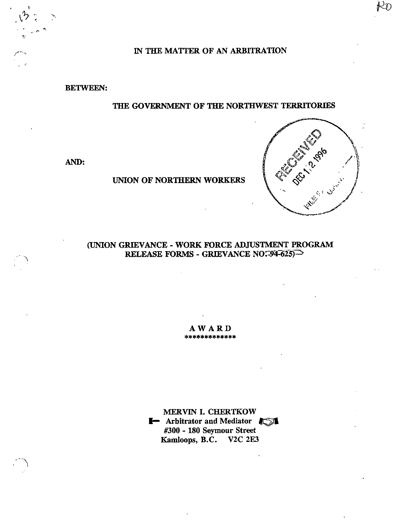IN THE MATTER OF AN ARBITRATION

BETWEEN:

r'

A

A

# THE GOVERNMENT OF THE NORTHWEST TERRITORIES

AND:

UNION OF NORTHERN WORKERS



(UNION GRIEVANCE - WORK FORCE ADJUSTMENT PROGRAM RELEASE FORMS - GRIEVANCE NO.  $-94-625$ 

 $A$  **W**  $A$  **R**  $D$ <br>\*\*\*\*\*\*\*\*\*\*\*\*\*\*

MERVIN 1. CHERTKOW **I** Arbitrator and Mediator  $\sqrt{2}$ #300 - 180 Seymour Street Kamloops, B.C. V2C 2E3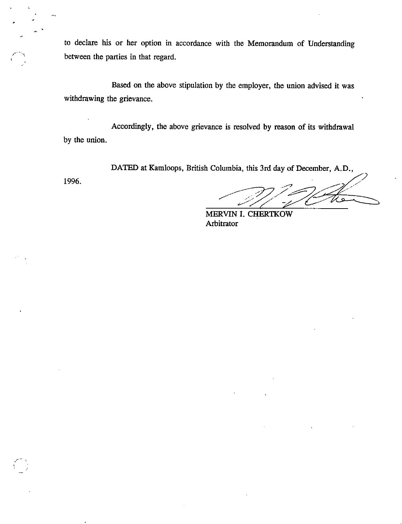to declare his or her option in accordance with the Memorandum of Understanding between the parties in that regard.

Based on the above stipulation by the employer, the union advised it was withdrawing the grievance.

Accordingly, the above grievance is resolved by reason of its withdrawal by the union.

DATED at Kamloops, British Columbia, this 3rd day of December, A.D.,

1996.

MERVIN I. CHERTKOW Arbitrator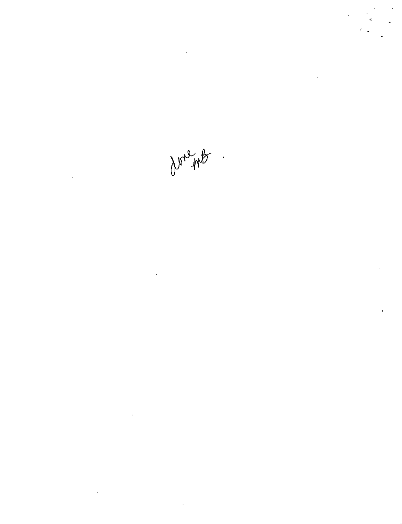Don Me

 $\mathcal{L}^{\text{max}}_{\text{max}}$  and  $\mathcal{L}^{\text{max}}_{\text{max}}$ 

 $\label{eq:2.1} \mathcal{L}(\mathcal{L}^{\text{max}}_{\mathcal{L}}(\mathcal{L}^{\text{max}}_{\mathcal{L}})) \leq \mathcal{L}(\mathcal{L}^{\text{max}}_{\mathcal{L}}(\mathcal{L}^{\text{max}}_{\mathcal{L}}))$ 

 $\label{eq:2.1} \mathcal{L}(\mathcal{L}^{\text{max}}_{\mathcal{L}}(\mathcal{L}^{\text{max}}_{\mathcal{L}}(\mathcal{L}^{\text{max}}_{\mathcal{L}}(\mathcal{L}^{\text{max}}_{\mathcal{L}^{\text{max}}_{\mathcal{L}}})))))$ 

 $\mathcal{L}^{\text{max}}_{\text{max}}$ 

 $\sim 10^{-10}$ 

 $\label{eq:2.1} \frac{1}{\sqrt{2}}\int_{\mathbb{R}^3}\frac{1}{\sqrt{2}}\left(\frac{1}{\sqrt{2}}\right)^2\frac{1}{\sqrt{2}}\left(\frac{1}{\sqrt{2}}\right)^2\frac{1}{\sqrt{2}}\left(\frac{1}{\sqrt{2}}\right)^2\frac{1}{\sqrt{2}}\left(\frac{1}{\sqrt{2}}\right)^2\frac{1}{\sqrt{2}}\left(\frac{1}{\sqrt{2}}\right)^2\frac{1}{\sqrt{2}}\frac{1}{\sqrt{2}}\frac{1}{\sqrt{2}}\frac{1}{\sqrt{2}}\frac{1}{\sqrt{2}}\frac{1}{\sqrt{2}}$ 

 $\frac{1}{2}$ 

 $\hat{\mathbf{r}}$ 

 $\mathcal{L}^{\text{max}}_{\text{max}}$  , where  $\mathcal{L}^{\text{max}}_{\text{max}}$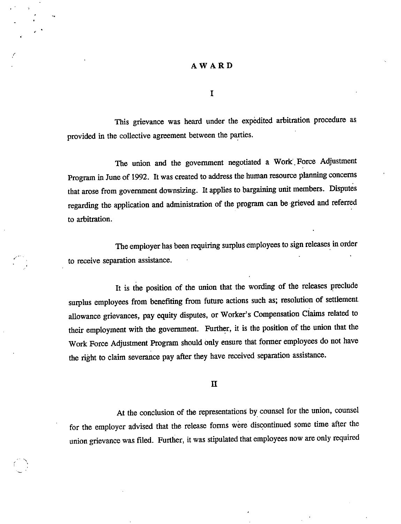### AWARD

 $\mathbf I$ 

This grievance was heard under the expedited arbitration procedure as provided in the collective agreement between the parties.

The union and the government negotiated a Work .Force Adjustment Program in June of 1992. It was created to address the human resource planning concerns that arose from government downsizing. Itapplies to bargaining unit members. Disputes regarding the application and administration of the program can be grieved and referred to arbitration.

The employer has been requiring surplus employees to sign releases in order to receive separation assistance.

It is the position of the union that the wording of the releases preclude surplus employees from benefiting from future actions such as; resolution of settlement allowance grievances, pay equity disputes, or Worker's Compensation Claims related to their employment with the government. Further, it is the position of the union that the Work Force Adjustment Program should only ensure that former employees do not have the right to claim severance pay after they have received separation assistance.

n

At the conclusion of the representations by counsel for the union, counsel for the employer advised that the release forms were discontinued some time after the union grievance was filed. Further, it was stipulated that employees now are only required